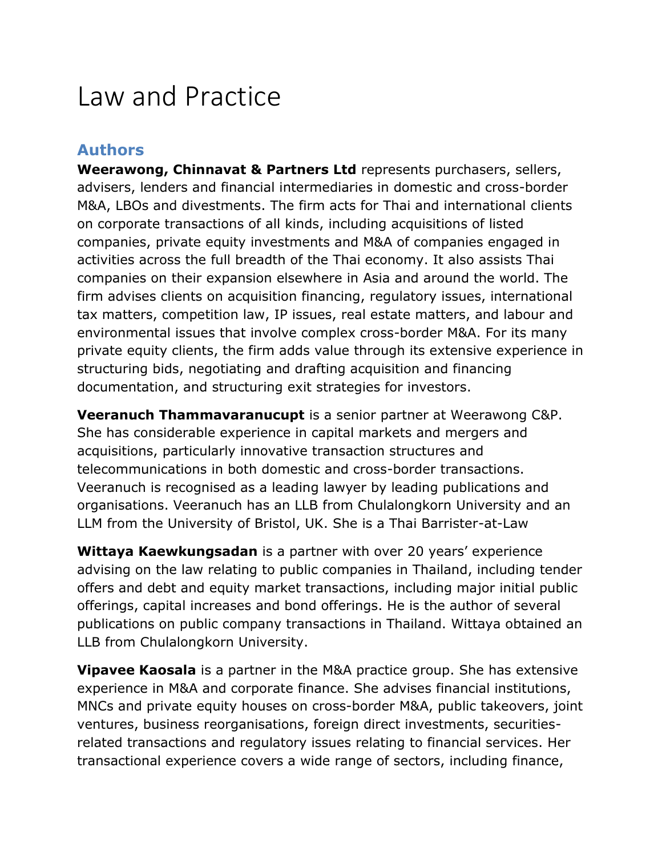# Law and Practice

#### **Authors**

**Weerawong, Chinnavat & Partners Ltd** represents purchasers, sellers, advisers, lenders and financial intermediaries in domestic and cross-border M&A, LBOs and divestments. The firm acts for Thai and international clients on corporate transactions of all kinds, including acquisitions of listed companies, private equity investments and M&A of companies engaged in activities across the full breadth of the Thai economy. It also assists Thai companies on their expansion elsewhere in Asia and around the world. The firm advises clients on acquisition financing, regulatory issues, international tax matters, competition law, IP issues, real estate matters, and labour and environmental issues that involve complex cross-border M&A. For its many private equity clients, the firm adds value through its extensive experience in structuring bids, negotiating and drafting acquisition and financing documentation, and structuring exit strategies for investors.

**Veeranuch Thammavaranucupt** is a senior partner at Weerawong C&P. She has considerable experience in capital markets and mergers and acquisitions, particularly innovative transaction structures and telecommunications in both domestic and cross-border transactions. Veeranuch is recognised as a leading lawyer by leading publications and organisations. Veeranuch has an LLB from Chulalongkorn University and an LLM from the University of Bristol, UK. She is a Thai Barrister-at-Law

**Wittaya Kaewkungsadan** is a partner with over 20 years' experience advising on the law relating to public companies in Thailand, including tender offers and debt and equity market transactions, including major initial public offerings, capital increases and bond offerings. He is the author of several publications on public company transactions in Thailand. Wittaya obtained an LLB from Chulalongkorn University.

**Vipavee Kaosala** is a partner in the M&A practice group. She has extensive experience in M&A and corporate finance. She advises financial institutions, MNCs and private equity houses on cross-border M&A, public takeovers, joint ventures, business reorganisations, foreign direct investments, securitiesrelated transactions and regulatory issues relating to financial services. Her transactional experience covers a wide range of sectors, including finance,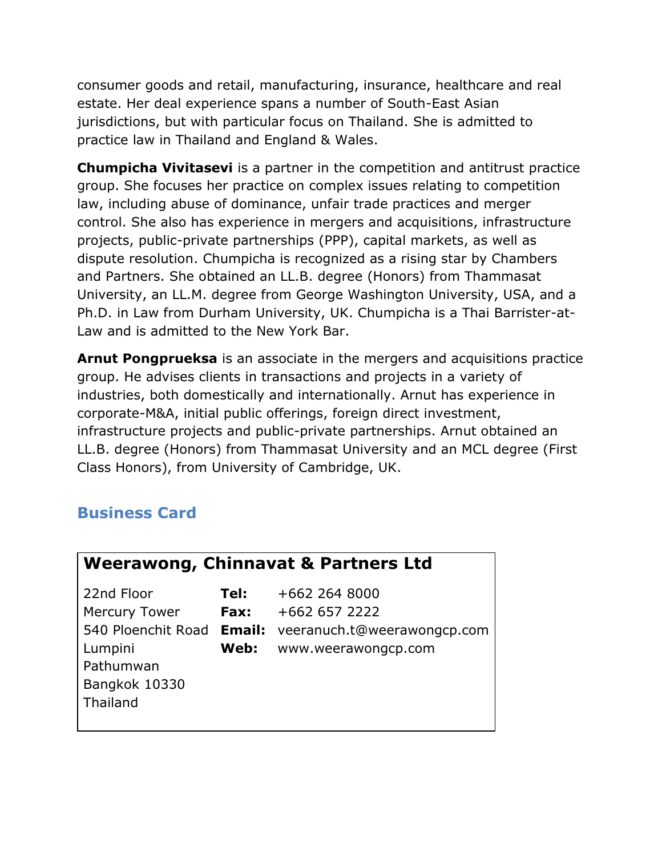consumer goods and retail, manufacturing, insurance, healthcare and real estate. Her deal experience spans a number of South-East Asian jurisdictions, but with particular focus on Thailand. She is admitted to practice law in Thailand and England & Wales.

**Chumpicha Vivitasevi** is a partner in the competition and antitrust practice group. She focuses her practice on complex issues relating to competition law, including abuse of dominance, unfair trade practices and merger control. She also has experience in mergers and acquisitions, infrastructure projects, public-private partnerships (PPP), capital markets, as well as dispute resolution. Chumpicha is recognized as a rising star by Chambers and Partners. She obtained an LL.B. degree (Honors) from Thammasat University, an LL.M. degree from George Washington University, USA, and a Ph.D. in Law from Durham University, UK. Chumpicha is a Thai Barrister-at-Law and is admitted to the New York Bar.

**Arnut Pongprueksa** is an associate in the mergers and acquisitions practice group. He advises clients in transactions and projects in a variety of industries, both domestically and internationally. Arnut has experience in corporate-M&A, initial public offerings, foreign direct investment, infrastructure projects and public-private partnerships. Arnut obtained an LL.B. degree (Honors) from Thammasat University and an MCL degree (First Class Honors), from University of Cambridge, UK.

# **Business Card**

| <b>Weerawong, Chinnavat &amp; Partners Ltd</b> |      |                             |
|------------------------------------------------|------|-----------------------------|
| 22nd Floor                                     | Tel: | +662 264 8000               |
| <b>Mercury Tower</b>                           | Fax: | +662 657 2222               |
| 540 Ploenchit Road Email:                      |      | veeranuch.t@weerawongcp.com |
| Lumpini                                        | Web: | www.weerawongcp.com         |
| Pathumwan                                      |      |                             |
| Bangkok 10330                                  |      |                             |
| Thailand                                       |      |                             |
|                                                |      |                             |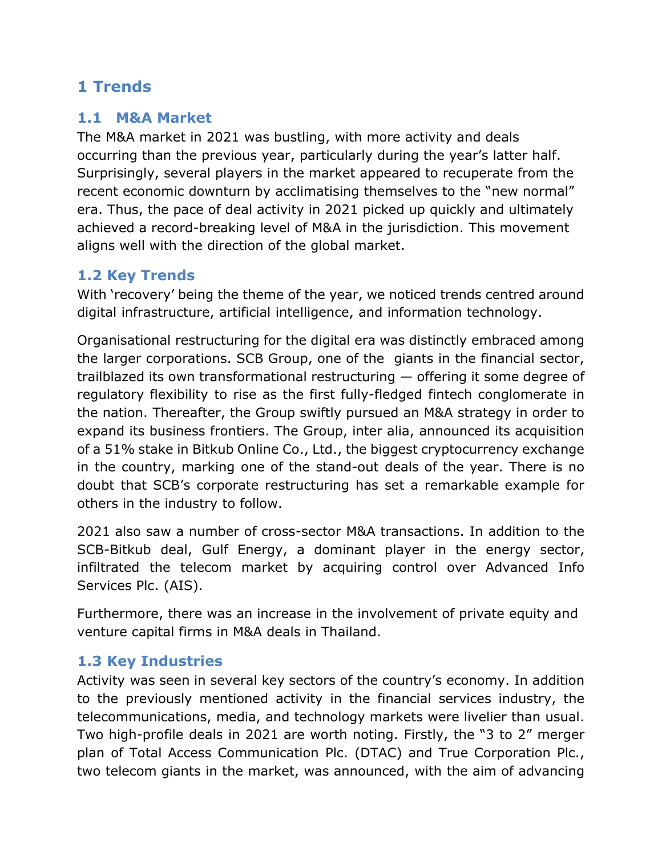# **1 Trends**

#### **1.1 M&A Market**

The M&A market in 2021 was bustling, with more activity and deals occurring than the previous year, particularly during the year's latter half. Surprisingly, several players in the market appeared to recuperate from the recent economic downturn by acclimatising themselves to the "new normal" era. Thus, the pace of deal activity in 2021 picked up quickly and ultimately achieved a record-breaking level of M&A in the jurisdiction. This movement aligns well with the direction of the global market.

## **1.2 Key Trends**

With 'recovery' being the theme of the year, we noticed trends centred around digital infrastructure, artificial intelligence, and information technology.

Organisational restructuring for the digital era was distinctly embraced among the larger corporations. SCB Group, one of the giants in the financial sector, trailblazed its own transformational restructuring — offering it some degree of regulatory flexibility to rise as the first fully-fledged fintech conglomerate in the nation. Thereafter, the Group swiftly pursued an M&A strategy in order to expand its business frontiers. The Group, inter alia, announced its acquisition of a 51% stake in Bitkub Online Co., Ltd., the biggest cryptocurrency exchange in the country, marking one of the stand-out deals of the year. There is no doubt that SCB's corporate restructuring has set a remarkable example for others in the industry to follow.

2021 also saw a number of cross-sector M&A transactions. In addition to the SCB-Bitkub deal, Gulf Energy, a dominant player in the energy sector, infiltrated the telecom market by acquiring control over Advanced Info Services Plc. (AIS).

Furthermore, there was an increase in the involvement of private equity and venture capital firms in M&A deals in Thailand.

## **1.3 Key Industries**

Activity was seen in several key sectors of the country's economy. In addition to the previously mentioned activity in the financial services industry, the telecommunications, media, and technology markets were livelier than usual. Two high-profile deals in 2021 are worth noting. Firstly, the "3 to 2" merger plan of Total Access Communication Plc. (DTAC) and True Corporation Plc., two telecom giants in the market, was announced, with the aim of advancing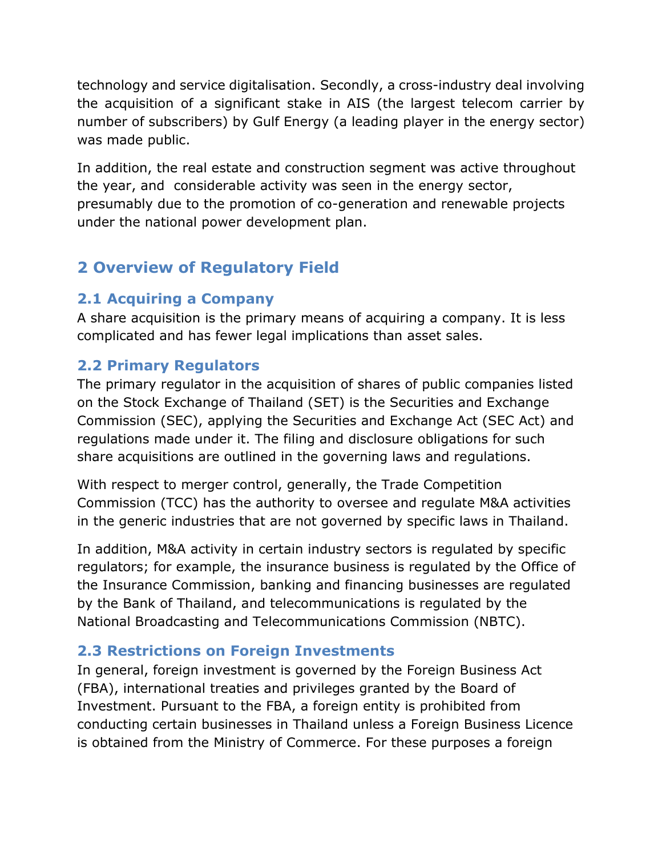technology and service digitalisation. Secondly, a cross-industry deal involving the acquisition of a significant stake in AIS (the largest telecom carrier by number of subscribers) by Gulf Energy (a leading player in the energy sector) was made public.

In addition, the real estate and construction segment was active throughout the year, and considerable activity was seen in the energy sector, presumably due to the promotion of co-generation and renewable projects under the national power development plan.

# **2 Overview of Regulatory Field**

## **2.1 Acquiring a Company**

A share acquisition is the primary means of acquiring a company. It is less complicated and has fewer legal implications than asset sales.

## **2.2 Primary Regulators**

The primary regulator in the acquisition of shares of public companies listed on the Stock Exchange of Thailand (SET) is the Securities and Exchange Commission (SEC), applying the Securities and Exchange Act (SEC Act) and regulations made under it. The filing and disclosure obligations for such share acquisitions are outlined in the governing laws and regulations.

With respect to merger control, generally, the Trade Competition Commission (TCC) has the authority to oversee and regulate M&A activities in the generic industries that are not governed by specific laws in Thailand.

In addition, M&A activity in certain industry sectors is regulated by specific regulators; for example, the insurance business is regulated by the Office of the Insurance Commission, banking and financing businesses are regulated by the Bank of Thailand, and telecommunications is regulated by the National Broadcasting and Telecommunications Commission (NBTC).

## **2.3 Restrictions on Foreign Investments**

In general, foreign investment is governed by the Foreign Business Act (FBA), international treaties and privileges granted by the Board of Investment. Pursuant to the FBA, a foreign entity is prohibited from conducting certain businesses in Thailand unless a Foreign Business Licence is obtained from the Ministry of Commerce. For these purposes a foreign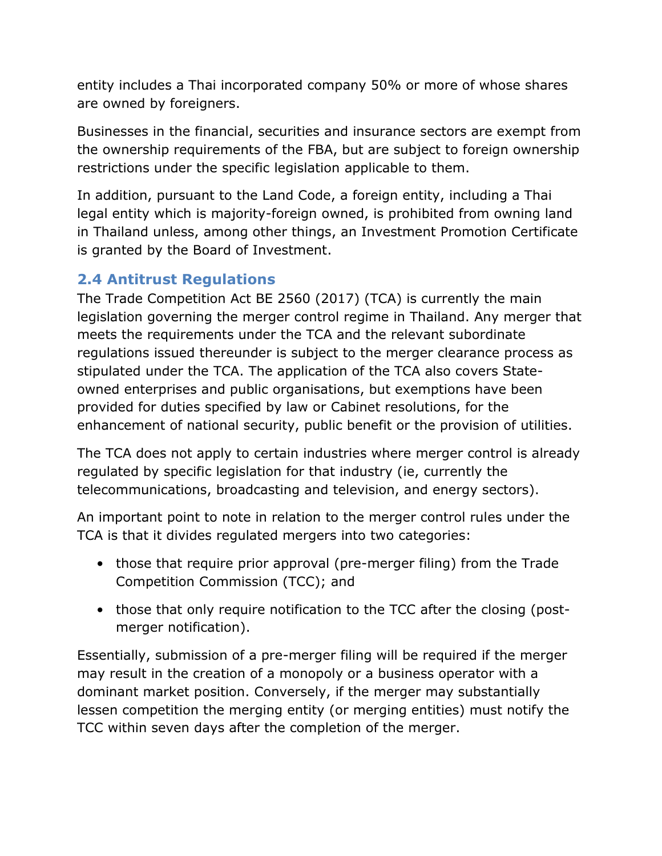entity includes a Thai incorporated company 50% or more of whose shares are owned by foreigners.

Businesses in the financial, securities and insurance sectors are exempt from the ownership requirements of the FBA, but are subject to foreign ownership restrictions under the specific legislation applicable to them.

In addition, pursuant to the Land Code, a foreign entity, including a Thai legal entity which is majority-foreign owned, is prohibited from owning land in Thailand unless, among other things, an Investment Promotion Certificate is granted by the Board of Investment.

## **2.4 Antitrust Regulations**

The Trade Competition Act BE 2560 (2017) (TCA) is currently the main legislation governing the merger control regime in Thailand. Any merger that meets the requirements under the TCA and the relevant subordinate regulations issued thereunder is subject to the merger clearance process as stipulated under the TCA. The application of the TCA also covers Stateowned enterprises and public organisations, but exemptions have been provided for duties specified by law or Cabinet resolutions, for the enhancement of national security, public benefit or the provision of utilities.

The TCA does not apply to certain industries where merger control is already regulated by specific legislation for that industry (ie, currently the telecommunications, broadcasting and television, and energy sectors).

An important point to note in relation to the merger control rules under the TCA is that it divides regulated mergers into two categories:

- those that require prior approval (pre-merger filing) from the Trade Competition Commission (TCC); and
- those that only require notification to the TCC after the closing (postmerger notification).

Essentially, submission of a pre-merger filing will be required if the merger may result in the creation of a monopoly or a business operator with a dominant market position. Conversely, if the merger may substantially lessen competition the merging entity (or merging entities) must notify the TCC within seven days after the completion of the merger.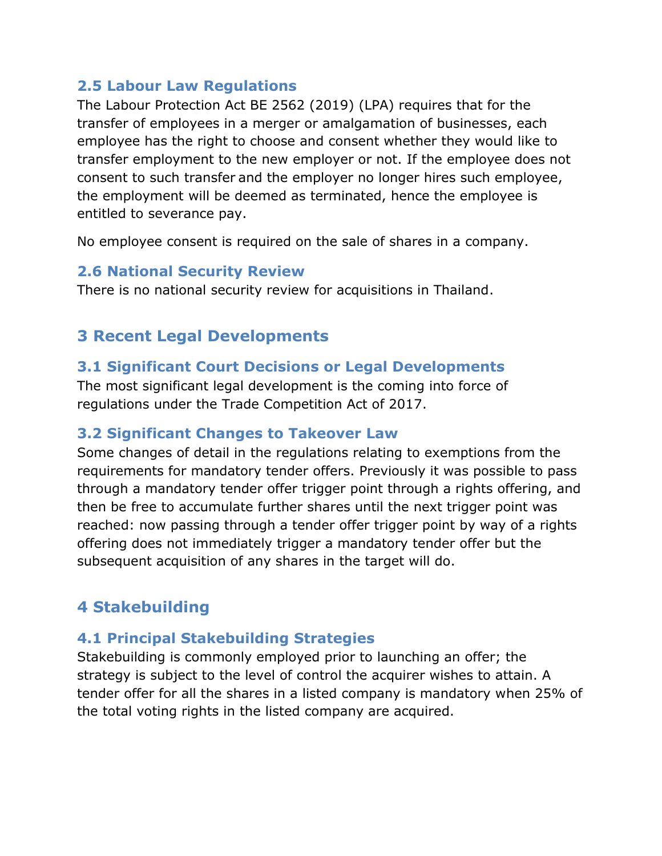#### **2.5 Labour Law Regulations**

The Labour Protection Act BE 2562 (2019) (LPA) requires that for the transfer of employees in a merger or amalgamation of businesses, each employee has the right to choose and consent whether they would like to transfer employment to the new employer or not. If the employee does not consent to such transfer and the employer no longer hires such employee, the employment will be deemed as terminated, hence the employee is entitled to severance pay.

No employee consent is required on the sale of shares in a company.

#### **2.6 National Security Review**

There is no national security review for acquisitions in Thailand.

## **3 Recent Legal Developments**

#### **3.1 Significant Court Decisions or Legal Developments**

The most significant legal development is the coming into force of regulations under the Trade Competition Act of 2017.

#### **3.2 Significant Changes to Takeover Law**

Some changes of detail in the regulations relating to exemptions from the requirements for mandatory tender offers. Previously it was possible to pass through a mandatory tender offer trigger point through a rights offering, and then be free to accumulate further shares until the next trigger point was reached: now passing through a tender offer trigger point by way of a rights offering does not immediately trigger a mandatory tender offer but the subsequent acquisition of any shares in the target will do.

## **4 Stakebuilding**

## **4.1 Principal Stakebuilding Strategies**

Stakebuilding is commonly employed prior to launching an offer; the strategy is subject to the level of control the acquirer wishes to attain. A tender offer for all the shares in a listed company is mandatory when 25% of the total voting rights in the listed company are acquired.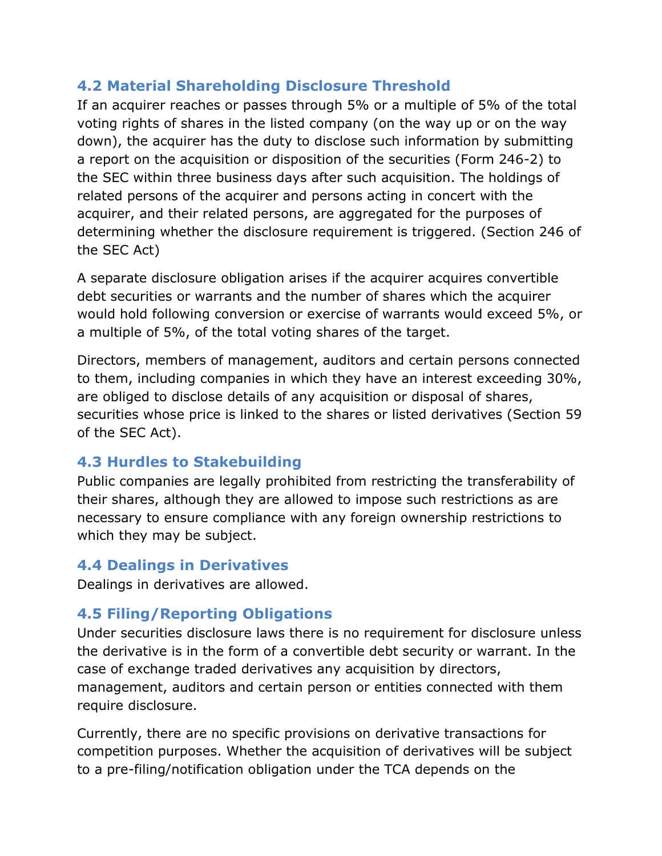## **4.2 Material Shareholding Disclosure Threshold**

If an acquirer reaches or passes through 5% or a multiple of 5% of the total voting rights of shares in the listed company (on the way up or on the way down), the acquirer has the duty to disclose such information by submitting a report on the acquisition or disposition of the securities (Form 246-2) to the SEC within three business days after such acquisition. The holdings of related persons of the acquirer and persons acting in concert with the acquirer, and their related persons, are aggregated for the purposes of determining whether the disclosure requirement is triggered. (Section 246 of the SEC Act)

A separate disclosure obligation arises if the acquirer acquires convertible debt securities or warrants and the number of shares which the acquirer would hold following conversion or exercise of warrants would exceed 5%, or a multiple of 5%, of the total voting shares of the target.

Directors, members of management, auditors and certain persons connected to them, including companies in which they have an interest exceeding 30%, are obliged to disclose details of any acquisition or disposal of shares, securities whose price is linked to the shares or listed derivatives (Section 59 of the SEC Act).

#### **4.3 Hurdles to Stakebuilding**

Public companies are legally prohibited from restricting the transferability of their shares, although they are allowed to impose such restrictions as are necessary to ensure compliance with any foreign ownership restrictions to which they may be subject.

## **4.4 Dealings in Derivatives**

Dealings in derivatives are allowed.

## **4.5 Filing/Reporting Obligations**

Under securities disclosure laws there is no requirement for disclosure unless the derivative is in the form of a convertible debt security or warrant. In the case of exchange traded derivatives any acquisition by directors, management, auditors and certain person or entities connected with them require disclosure.

Currently, there are no specific provisions on derivative transactions for competition purposes. Whether the acquisition of derivatives will be subject to a pre-filing/notification obligation under the TCA depends on the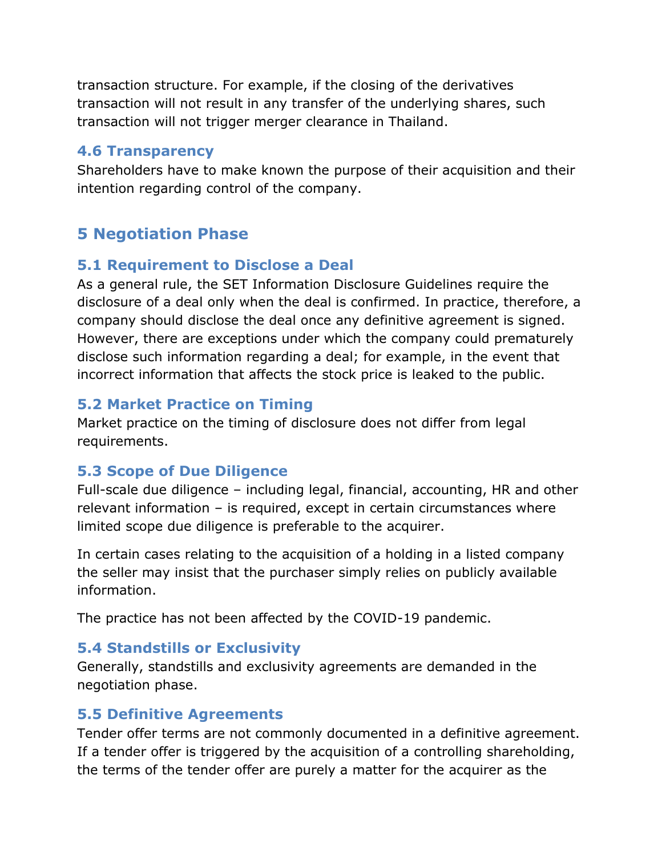transaction structure. For example, if the closing of the derivatives transaction will not result in any transfer of the underlying shares, such transaction will not trigger merger clearance in Thailand.

#### **4.6 Transparency**

Shareholders have to make known the purpose of their acquisition and their intention regarding control of the company.

## **5 Negotiation Phase**

#### **5.1 Requirement to Disclose a Deal**

As a general rule, the SET Information Disclosure Guidelines require the disclosure of a deal only when the deal is confirmed. In practice, therefore, a company should disclose the deal once any definitive agreement is signed. However, there are exceptions under which the company could prematurely disclose such information regarding a deal; for example, in the event that incorrect information that affects the stock price is leaked to the public.

## **5.2 Market Practice on Timing**

Market practice on the timing of disclosure does not differ from legal requirements.

## **5.3 Scope of Due Diligence**

Full-scale due diligence – including legal, financial, accounting, HR and other relevant information – is required, except in certain circumstances where limited scope due diligence is preferable to the acquirer.

In certain cases relating to the acquisition of a holding in a listed company the seller may insist that the purchaser simply relies on publicly available information.

The practice has not been affected by the COVID-19 pandemic.

## **5.4 Standstills or Exclusivity**

Generally, standstills and exclusivity agreements are demanded in the negotiation phase.

#### **5.5 Definitive Agreements**

Tender offer terms are not commonly documented in a definitive agreement. If a tender offer is triggered by the acquisition of a controlling shareholding, the terms of the tender offer are purely a matter for the acquirer as the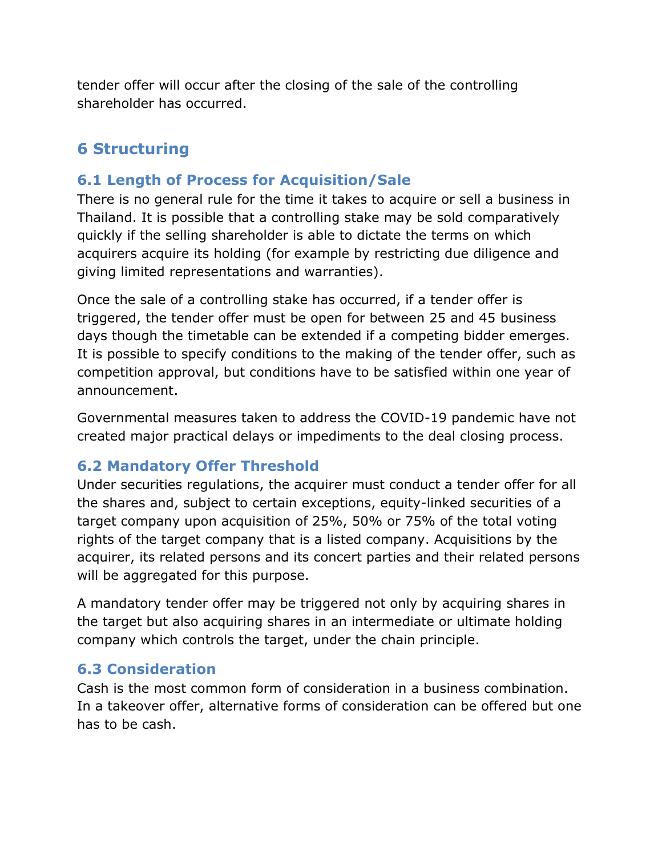tender offer will occur after the closing of the sale of the controlling shareholder has occurred.

# **6 Structuring**

## **6.1 Length of Process for Acquisition/Sale**

There is no general rule for the time it takes to acquire or sell a business in Thailand. It is possible that a controlling stake may be sold comparatively quickly if the selling shareholder is able to dictate the terms on which acquirers acquire its holding (for example by restricting due diligence and giving limited representations and warranties).

Once the sale of a controlling stake has occurred, if a tender offer is triggered, the tender offer must be open for between 25 and 45 business days though the timetable can be extended if a competing bidder emerges. It is possible to specify conditions to the making of the tender offer, such as competition approval, but conditions have to be satisfied within one year of announcement.

Governmental measures taken to address the COVID-19 pandemic have not created major practical delays or impediments to the deal closing process.

## **6.2 Mandatory Offer Threshold**

Under securities regulations, the acquirer must conduct a tender offer for all the shares and, subject to certain exceptions, equity-linked securities of a target company upon acquisition of 25%, 50% or 75% of the total voting rights of the target company that is a listed company. Acquisitions by the acquirer, its related persons and its concert parties and their related persons will be aggregated for this purpose.

A mandatory tender offer may be triggered not only by acquiring shares in the target but also acquiring shares in an intermediate or ultimate holding company which controls the target, under the chain principle.

#### **6.3 Consideration**

Cash is the most common form of consideration in a business combination. In a takeover offer, alternative forms of consideration can be offered but one has to be cash.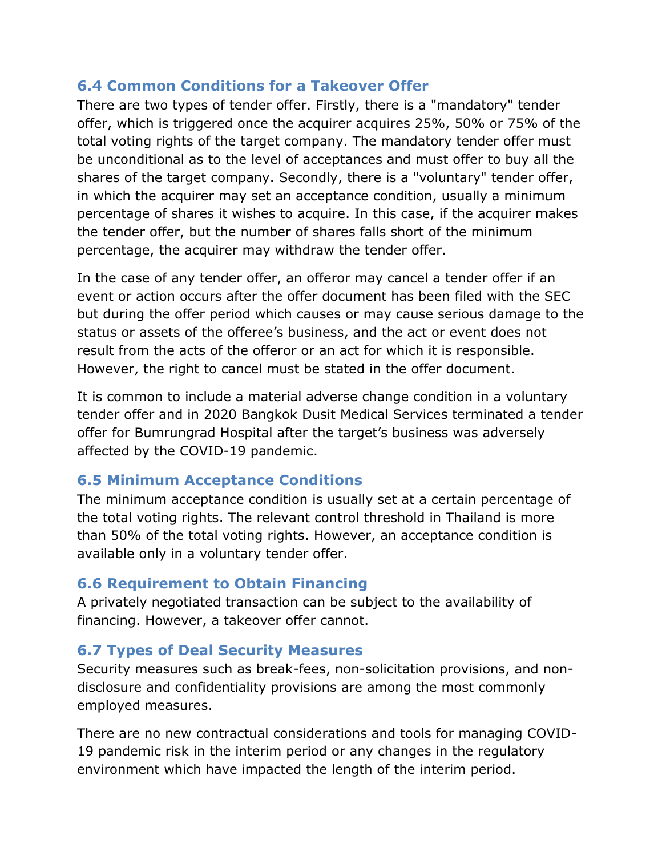#### **6.4 Common Conditions for a Takeover Offer**

There are two types of tender offer. Firstly, there is a "mandatory" tender offer, which is triggered once the acquirer acquires 25%, 50% or 75% of the total voting rights of the target company. The mandatory tender offer must be unconditional as to the level of acceptances and must offer to buy all the shares of the target company. Secondly, there is a "voluntary" tender offer, in which the acquirer may set an acceptance condition, usually a minimum percentage of shares it wishes to acquire. In this case, if the acquirer makes the tender offer, but the number of shares falls short of the minimum percentage, the acquirer may withdraw the tender offer.

In the case of any tender offer, an offeror may cancel a tender offer if an event or action occurs after the offer document has been filed with the SEC but during the offer period which causes or may cause serious damage to the status or assets of the offeree's business, and the act or event does not result from the acts of the offeror or an act for which it is responsible. However, the right to cancel must be stated in the offer document.

It is common to include a material adverse change condition in a voluntary tender offer and in 2020 Bangkok Dusit Medical Services terminated a tender offer for Bumrungrad Hospital after the target's business was adversely affected by the COVID-19 pandemic.

## **6.5 Minimum Acceptance Conditions**

The minimum acceptance condition is usually set at a certain percentage of the total voting rights. The relevant control threshold in Thailand is more than 50% of the total voting rights. However, an acceptance condition is available only in a voluntary tender offer.

## **6.6 Requirement to Obtain Financing**

A privately negotiated transaction can be subject to the availability of financing. However, a takeover offer cannot.

## **6.7 Types of Deal Security Measures**

Security measures such as break-fees, non-solicitation provisions, and nondisclosure and confidentiality provisions are among the most commonly employed measures.

There are no new contractual considerations and tools for managing COVID-19 pandemic risk in the interim period or any changes in the regulatory environment which have impacted the length of the interim period.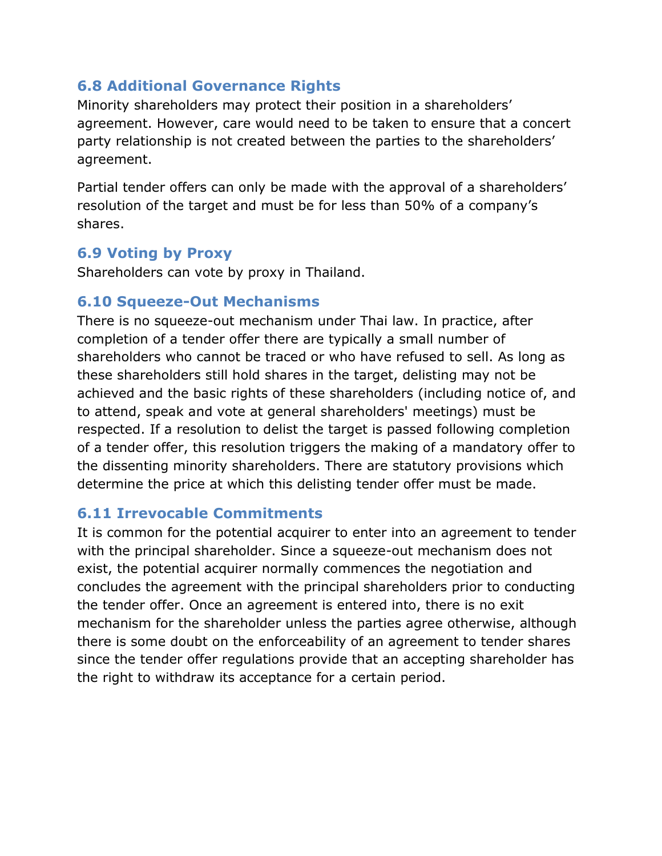#### **6.8 Additional Governance Rights**

Minority shareholders may protect their position in a shareholders' agreement. However, care would need to be taken to ensure that a concert party relationship is not created between the parties to the shareholders' agreement.

Partial tender offers can only be made with the approval of a shareholders' resolution of the target and must be for less than 50% of a company's shares.

#### **6.9 Voting by Proxy**

Shareholders can vote by proxy in Thailand.

#### **6.10 Squeeze-Out Mechanisms**

There is no squeeze-out mechanism under Thai law. In practice, after completion of a tender offer there are typically a small number of shareholders who cannot be traced or who have refused to sell. As long as these shareholders still hold shares in the target, delisting may not be achieved and the basic rights of these shareholders (including notice of, and to attend, speak and vote at general shareholders' meetings) must be respected. If a resolution to delist the target is passed following completion of a tender offer, this resolution triggers the making of a mandatory offer to the dissenting minority shareholders. There are statutory provisions which determine the price at which this delisting tender offer must be made.

#### **6.11 Irrevocable Commitments**

It is common for the potential acquirer to enter into an agreement to tender with the principal shareholder. Since a squeeze-out mechanism does not exist, the potential acquirer normally commences the negotiation and concludes the agreement with the principal shareholders prior to conducting the tender offer. Once an agreement is entered into, there is no exit mechanism for the shareholder unless the parties agree otherwise, although there is some doubt on the enforceability of an agreement to tender shares since the tender offer regulations provide that an accepting shareholder has the right to withdraw its acceptance for a certain period.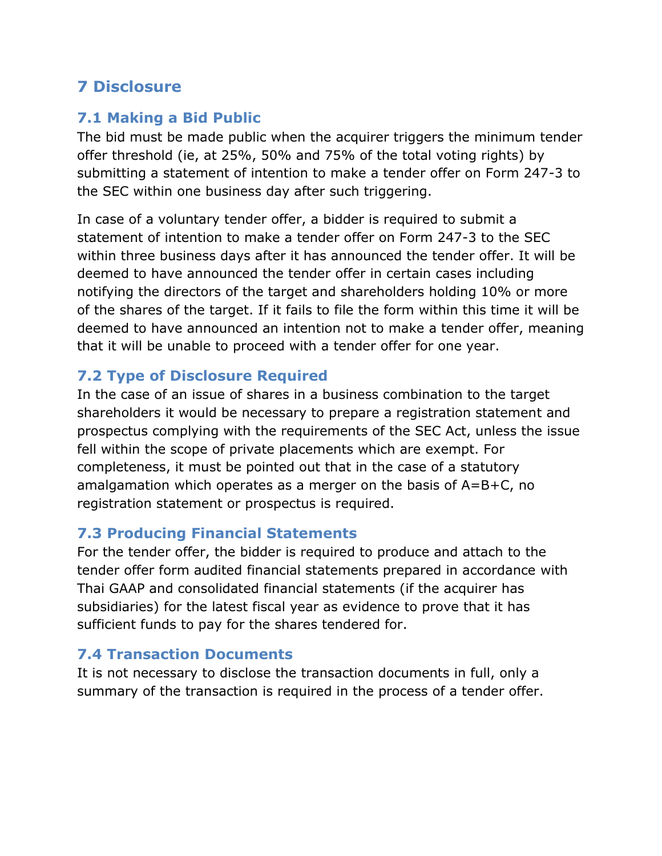## **7 Disclosure**

## **7.1 Making a Bid Public**

The bid must be made public when the acquirer triggers the minimum tender offer threshold (ie, at 25%, 50% and 75% of the total voting rights) by submitting a statement of intention to make a tender offer on Form 247-3 to the SEC within one business day after such triggering.

In case of a voluntary tender offer, a bidder is required to submit a statement of intention to make a tender offer on Form 247-3 to the SEC within three business days after it has announced the tender offer. It will be deemed to have announced the tender offer in certain cases including notifying the directors of the target and shareholders holding 10% or more of the shares of the target. If it fails to file the form within this time it will be deemed to have announced an intention not to make a tender offer, meaning that it will be unable to proceed with a tender offer for one year.

## **7.2 Type of Disclosure Required**

In the case of an issue of shares in a business combination to the target shareholders it would be necessary to prepare a registration statement and prospectus complying with the requirements of the SEC Act, unless the issue fell within the scope of private placements which are exempt. For completeness, it must be pointed out that in the case of a statutory amalgamation which operates as a merger on the basis of A=B+C, no registration statement or prospectus is required.

## **7.3 Producing Financial Statements**

For the tender offer, the bidder is required to produce and attach to the tender offer form audited financial statements prepared in accordance with Thai GAAP and consolidated financial statements (if the acquirer has subsidiaries) for the latest fiscal year as evidence to prove that it has sufficient funds to pay for the shares tendered for.

## **7.4 Transaction Documents**

It is not necessary to disclose the transaction documents in full, only a summary of the transaction is required in the process of a tender offer.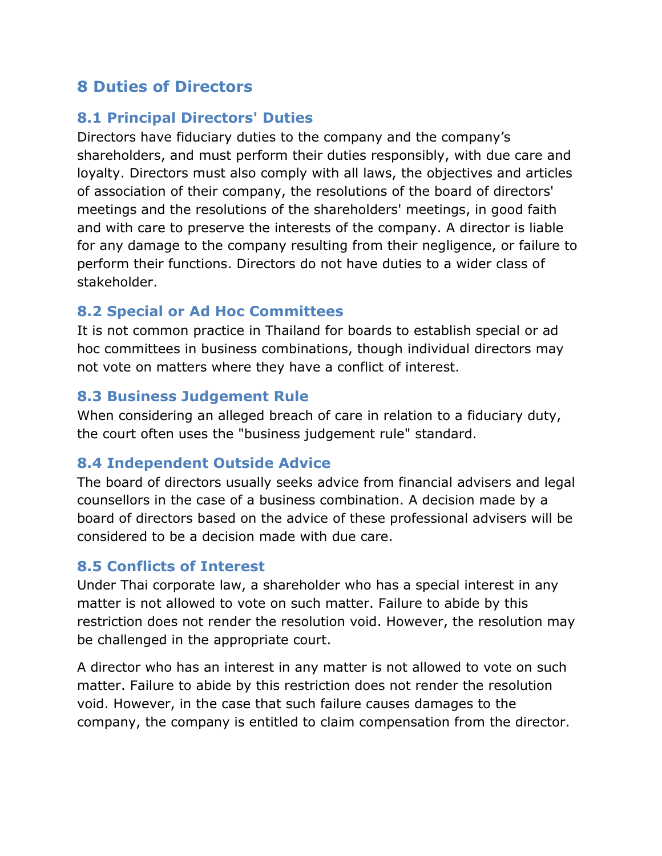## **8 Duties of Directors**

#### **8.1 Principal Directors' Duties**

Directors have fiduciary duties to the company and the company's shareholders, and must perform their duties responsibly, with due care and loyalty. Directors must also comply with all laws, the objectives and articles of association of their company, the resolutions of the board of directors' meetings and the resolutions of the shareholders' meetings, in good faith and with care to preserve the interests of the company. A director is liable for any damage to the company resulting from their negligence, or failure to perform their functions. Directors do not have duties to a wider class of stakeholder.

#### **8.2 Special or Ad Hoc Committees**

It is not common practice in Thailand for boards to establish special or ad hoc committees in business combinations, though individual directors may not vote on matters where they have a conflict of interest.

#### **8.3 Business Judgement Rule**

When considering an alleged breach of care in relation to a fiduciary duty, the court often uses the "business judgement rule" standard.

#### **8.4 Independent Outside Advice**

The board of directors usually seeks advice from financial advisers and legal counsellors in the case of a business combination. A decision made by a board of directors based on the advice of these professional advisers will be considered to be a decision made with due care.

#### **8.5 Conflicts of Interest**

Under Thai corporate law, a shareholder who has a special interest in any matter is not allowed to vote on such matter. Failure to abide by this restriction does not render the resolution void. However, the resolution may be challenged in the appropriate court.

A director who has an interest in any matter is not allowed to vote on such matter. Failure to abide by this restriction does not render the resolution void. However, in the case that such failure causes damages to the company, the company is entitled to claim compensation from the director.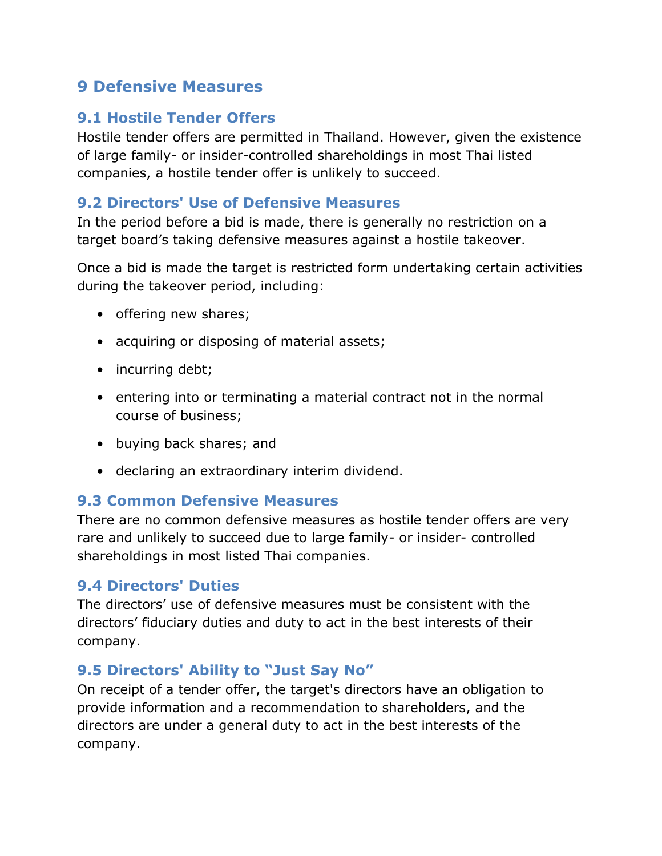## **9 Defensive Measures**

#### **9.1 Hostile Tender Offers**

Hostile tender offers are permitted in Thailand. However, given the existence of large family- or insider-controlled shareholdings in most Thai listed companies, a hostile tender offer is unlikely to succeed.

#### **9.2 Directors' Use of Defensive Measures**

In the period before a bid is made, there is generally no restriction on a target board's taking defensive measures against a hostile takeover.

Once a bid is made the target is restricted form undertaking certain activities during the takeover period, including:

- offering new shares;
- acquiring or disposing of material assets;
- incurring debt;
- entering into or terminating a material contract not in the normal course of business;
- buying back shares; and
- declaring an extraordinary interim dividend.

#### **9.3 Common Defensive Measures**

There are no common defensive measures as hostile tender offers are very rare and unlikely to succeed due to large family- or insider- controlled shareholdings in most listed Thai companies.

#### **9.4 Directors' Duties**

The directors' use of defensive measures must be consistent with the directors' fiduciary duties and duty to act in the best interests of their company.

#### **9.5 Directors' Ability to "Just Say No"**

On receipt of a tender offer, the target's directors have an obligation to provide information and a recommendation to shareholders, and the directors are under a general duty to act in the best interests of the company.